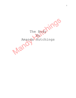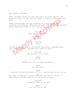EXT. WOODS – DAYTIME

NOTE: ALLISON though out this gets more and more nervous. She starts to panic at the end, but HAZEL is there to help clam her down.

HAZEL and ALLISON, college students on a walk in between studying for midterms. They talk amongst each other till ALLISON spots something bright on the side of the trail.

> ALLISON Hey, do you see that?

> > HAZEL See what?

ALLISON That

ALLISON start walking to the object cautiously. ALLISON moves buss and see a body. ALLISON falls back in shock

> ALLSION Omg my god! It's a body!

> > HAZEL

No way

HAZEL runs over to help ALLISON up

HAZEL

Are you sure?

HAZEL

(helping ALLSION up) Maybe it's a …… (spots body) Oh my god it is. The body is wearing a bright Hawaiian shirt with a bottle of some kind of alcohol next to it. No blood in sight.

> ALLISON (standing) What do we do?

HAZEL Call the police duh.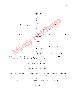ALLISON We can't do that

> HAZEL Why not?

ALLISON Haven't you seen those true crime shows

> HAZEL Which ones? there's thousands.

ALLISON The ones where people are falsely accused of a crime and spend years in prison.

HAZEL

And?

ALLISON And! The person that happens to be usually the one that finds the victims!

HAZEL

You are over thinking this. We need to do the right thing.

HAZEL leads down to the body to check for some kind of ID. ALLISON slaps HAZEL'S hand away from body.

> ALLISON The hell are you doing!

> > HAZEL

OW! What is wrong you?

ALLISON

Oh I'm sorry (pause) sorry that I don't want my best friend to go to prison for murder.

> HAZEL I'm not going to prison, I was checking for ID.

> > ALLISON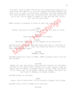You don't touch a body! The police will definitely blame you if they find your DNA on it. You will become the prime suspect and have to go to court to prove your innocence. But the prosecution will have evidence that you interacted with the body and you'll go to jail for at least 25 years to life and the real killer will get off scot-free!

HAZEL stares at ALLSION in shock at what she just said

#### HAZEL

(Pause, staring at ALLISON) You watch way too many of those shows

# ALLSION

They prepared me for this moment.

#### HAZEL

(Annoyed) Then what do you suggest we do Detective?

ALLISON starts thinking. ALLISON leads down next to the body to get a better view of it. Then she stands and walks to the other side and leads down again.

## ALLISON

# Hmmmmmm... Maybe

ALLISON stands and looks at HAZEL. HAZEL standing there with her arm crossed.

#### ALLISON

Maybe, we call the police, give them the location of the body, run back to the dorm, book a flight out of the country, pack our bags, send our family a goodbye text or letter, dump our phones in the river, get to the plane, change our names, and start our new lives in Hamburg as simple farmers.

ALLISON stares at the body.

HAZEL

Jesus, you're scaring me! You've actually thought this though

ALLISON lowly turns to HAZEL with wide eyes

## ALLISON